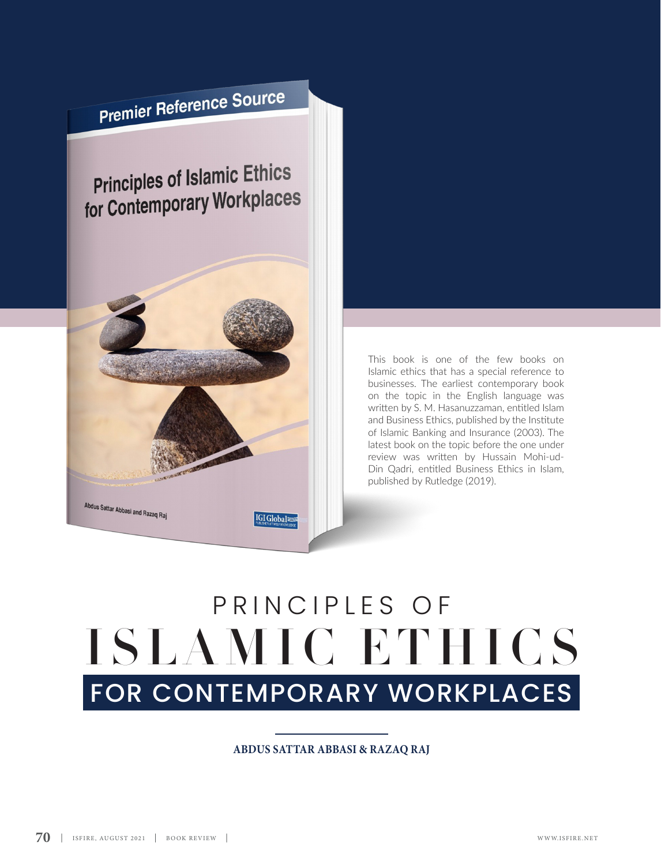## **Premier Reference Source**

## **Principles of Islamic Ethics Principles of Identity**<br>for Contemporary Workplaces



FOR CONTEMPORARY WORKPLACES ISLAMIC ETHICS PRINCIPLES OF

**IGIGlobal** 

**ABDUS SATTAR ABBASI & RAZAQ RAJ**

Abdus Sattar Abbasi and Razaq Raj